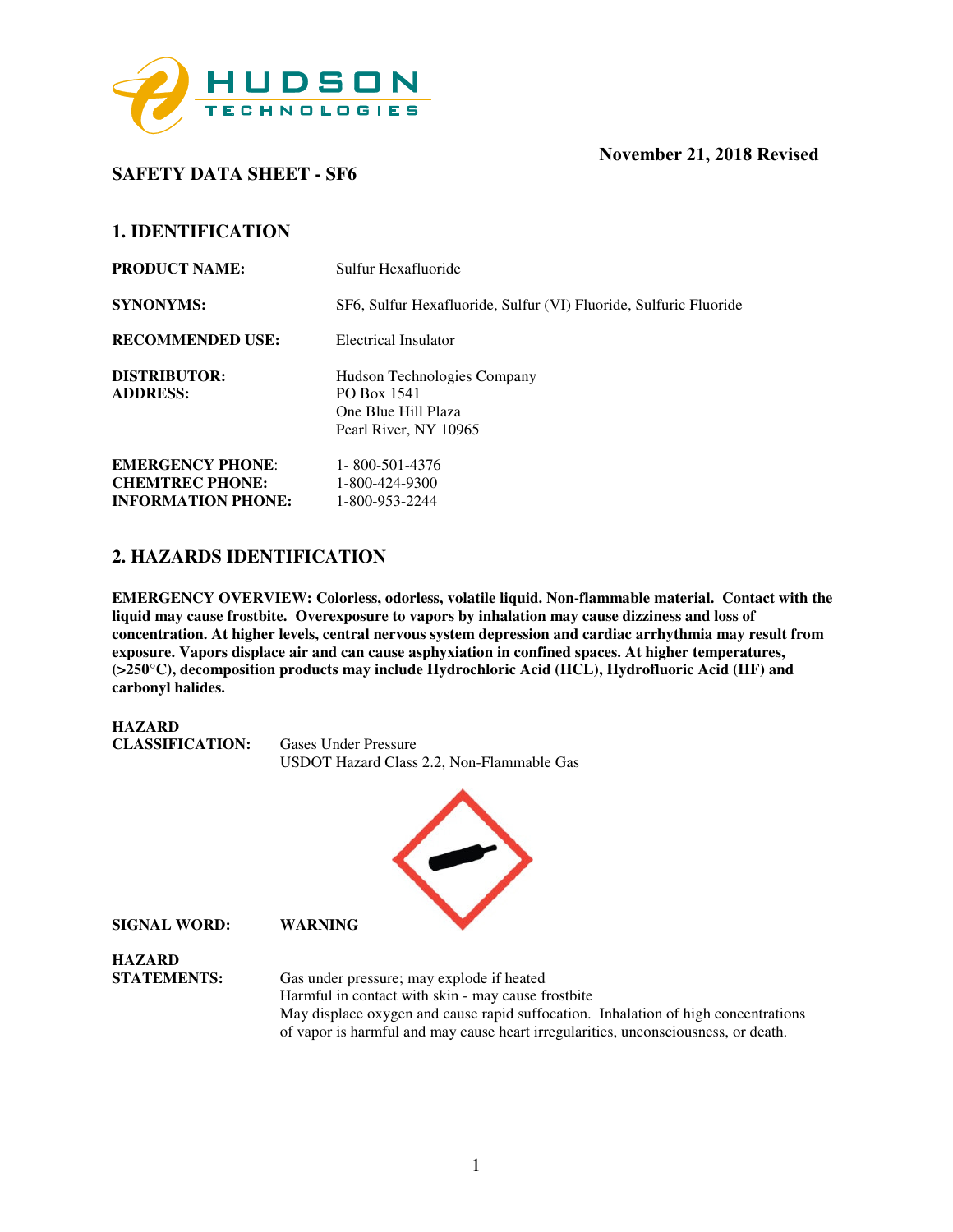

## **SAFETY DATA SHEET - SF6**

## **November 21, 2018 Revised**

## **1. IDENTIFICATION**

| <b>PRODUCT NAME:</b>                              | Sulfur Hexafluoride                                                                        |
|---------------------------------------------------|--------------------------------------------------------------------------------------------|
| <b>SYNONYMS:</b>                                  | SF6, Sulfur Hexafluoride, Sulfur (VI) Fluoride, Sulfuric Fluoride                          |
| <b>RECOMMENDED USE:</b>                           | Electrical Insulator                                                                       |
| DISTRIBUTOR:<br><b>ADDRESS:</b>                   | Hudson Technologies Company<br>PO Box 1541<br>One Blue Hill Plaza<br>Pearl River, NY 10965 |
| <b>EMERGENCY PHONE:</b><br><b>CHEMTREC PHONE:</b> | 1-800-501-4376<br>1-800-424-9300                                                           |
| <b>INFORMATION PHONE:</b>                         | 1-800-953-2244                                                                             |

## **2. HAZARDS IDENTIFICATION**

**EMERGENCY OVERVIEW: Colorless, odorless, volatile liquid. Non-flammable material. Contact with the liquid may cause frostbite. Overexposure to vapors by inhalation may cause dizziness and loss of concentration. At higher levels, central nervous system depression and cardiac arrhythmia may result from exposure. Vapors displace air and can cause asphyxiation in confined spaces. At higher temperatures, (>250**°**C), decomposition products may include Hydrochloric Acid (HCL), Hydrofluoric Acid (HF) and carbonyl halides.** 





**SIGNAL WORD: WARNING** 

**HAZARD** 

**STATEMENTS:** Gas under pressure; may explode if heated Harmful in contact with skin - may cause frostbite May displace oxygen and cause rapid suffocation. Inhalation of high concentrations of vapor is harmful and may cause heart irregularities, unconsciousness, or death.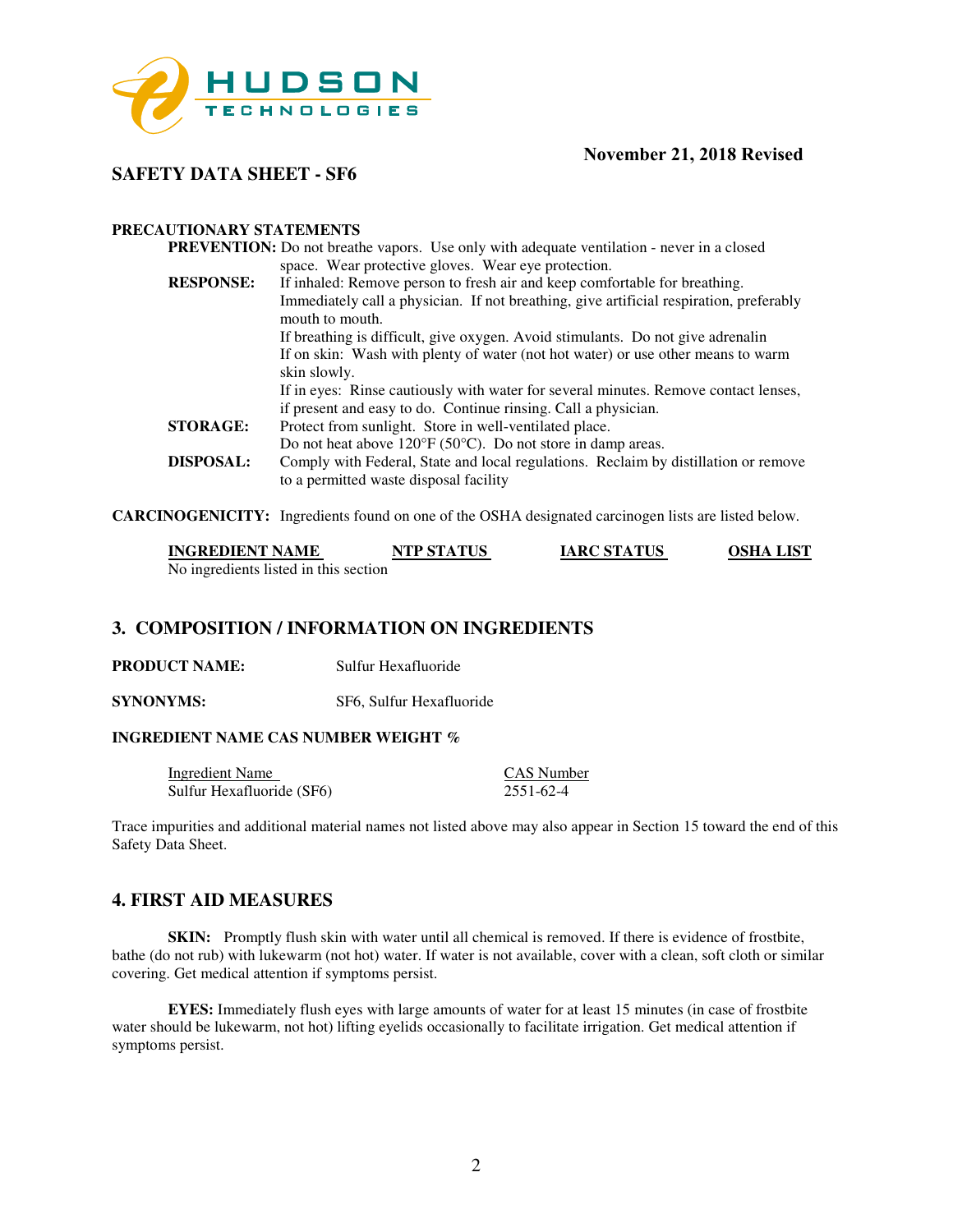

**SAFETY DATA SHEET - SF6** 

#### **PRECAUTIONARY STATEMENTS**

|                  | <b>PREVENTION:</b> Do not breathe vapors. Use only with adequate ventilation - never in a closed                              |
|------------------|-------------------------------------------------------------------------------------------------------------------------------|
|                  | space. Wear protective gloves. Wear eye protection.                                                                           |
| <b>RESPONSE:</b> | If inhaled: Remove person to fresh air and keep comfortable for breathing.                                                    |
|                  | Immediately call a physician. If not breathing, give artificial respiration, preferably<br>mouth to mouth.                    |
|                  | If breathing is difficult, give oxygen. Avoid stimulants. Do not give adrenalin                                               |
|                  | If on skin: Wash with plenty of water (not hot water) or use other means to warm                                              |
|                  | skin slowly.                                                                                                                  |
|                  | If in eyes: Rinse cautiously with water for several minutes. Remove contact lenses,                                           |
|                  | if present and easy to do. Continue rinsing. Call a physician.                                                                |
| <b>STORAGE:</b>  | Protect from sunlight. Store in well-ventilated place.                                                                        |
|                  | Do not heat above $120^{\circ}F(50^{\circ}C)$ . Do not store in damp areas.                                                   |
| <b>DISPOSAL:</b> | Comply with Federal, State and local regulations. Reclaim by distillation or remove<br>to a permitted waste disposal facility |
|                  |                                                                                                                               |

**CARCINOGENICITY:** Ingredients found on one of the OSHA designated carcinogen lists are listed below.

| <b>INGREDIENT NAME</b>                | <b>NTP STATUS</b> | <b>IARC STATUS</b> | <b>OSHA LIST</b> |
|---------------------------------------|-------------------|--------------------|------------------|
| No ingredients listed in this section |                   |                    |                  |

## **3. COMPOSITION / INFORMATION ON INGREDIENTS**

**PRODUCT NAME:** Sulfur Hexafluoride

**SYNONYMS:** SF6, Sulfur Hexafluoride

#### **INGREDIENT NAME CAS NUMBER WEIGHT %**

| Ingredient Name           | CAS Number |
|---------------------------|------------|
| Sulfur Hexafluoride (SF6) | 2551-62-4  |

Trace impurities and additional material names not listed above may also appear in Section 15 toward the end of this Safety Data Sheet.

### **4. FIRST AID MEASURES**

**SKIN:** Promptly flush skin with water until all chemical is removed. If there is evidence of frostbite, bathe (do not rub) with lukewarm (not hot) water. If water is not available, cover with a clean, soft cloth or similar covering. Get medical attention if symptoms persist.

**EYES:** Immediately flush eyes with large amounts of water for at least 15 minutes (in case of frostbite water should be lukewarm, not hot) lifting eyelids occasionally to facilitate irrigation. Get medical attention if symptoms persist.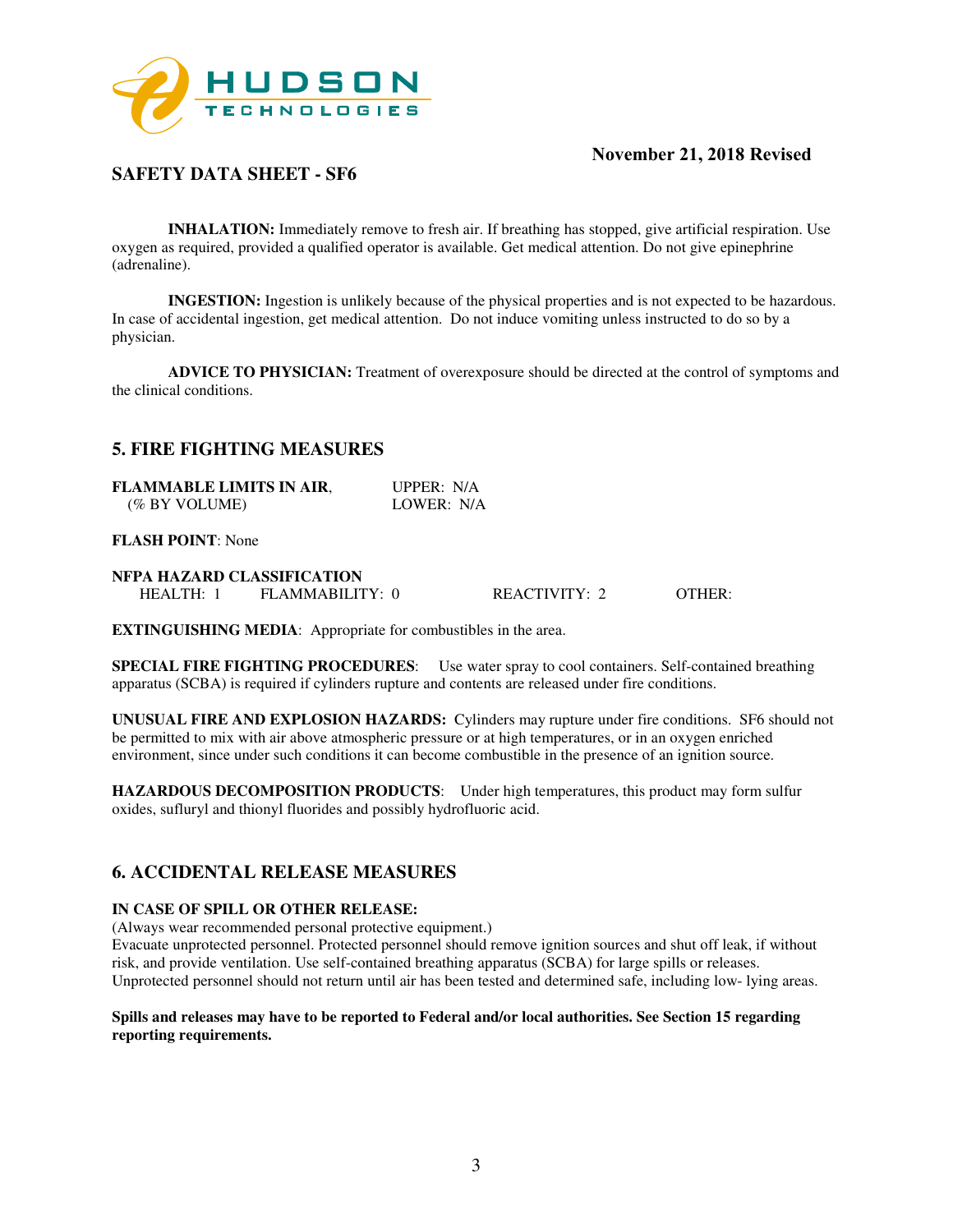

## **SAFETY DATA SHEET - SF6**

**INHALATION:** Immediately remove to fresh air. If breathing has stopped, give artificial respiration. Use oxygen as required, provided a qualified operator is available. Get medical attention. Do not give epinephrine (adrenaline).

**INGESTION:** Ingestion is unlikely because of the physical properties and is not expected to be hazardous. In case of accidental ingestion, get medical attention. Do not induce vomiting unless instructed to do so by a physician.

**ADVICE TO PHYSICIAN:** Treatment of overexposure should be directed at the control of symptoms and the clinical conditions.

### **5. FIRE FIGHTING MEASURES**

| <b>FLAMMABLE LIMITS IN AIR,</b> | UPPER: $N/A$ |
|---------------------------------|--------------|
| (% BY VOLUME)                   | LOWER: N/A   |

#### **FLASH POINT**: None

| NFPA HAZARD CLASSIFICATION |                 |                      |        |
|----------------------------|-----------------|----------------------|--------|
| HEALTH:                    | FLAMMABILITY: 0 | <b>REACTIVITY: 2</b> | OTHER: |

**EXTINGUISHING MEDIA**: Appropriate for combustibles in the area.

**SPECIAL FIRE FIGHTING PROCEDURES**: Use water spray to cool containers. Self-contained breathing apparatus (SCBA) is required if cylinders rupture and contents are released under fire conditions.

**UNUSUAL FIRE AND EXPLOSION HAZARDS:** Cylinders may rupture under fire conditions. SF6 should not be permitted to mix with air above atmospheric pressure or at high temperatures, or in an oxygen enriched environment, since under such conditions it can become combustible in the presence of an ignition source.

**HAZARDOUS DECOMPOSITION PRODUCTS**: Under high temperatures, this product may form sulfur oxides, sufluryl and thionyl fluorides and possibly hydrofluoric acid.

### **6. ACCIDENTAL RELEASE MEASURES**

#### **IN CASE OF SPILL OR OTHER RELEASE:**

(Always wear recommended personal protective equipment.)

Evacuate unprotected personnel. Protected personnel should remove ignition sources and shut off leak, if without risk, and provide ventilation. Use self-contained breathing apparatus (SCBA) for large spills or releases. Unprotected personnel should not return until air has been tested and determined safe, including low- lying areas.

#### **Spills and releases may have to be reported to Federal and/or local authorities. See Section 15 regarding reporting requirements.**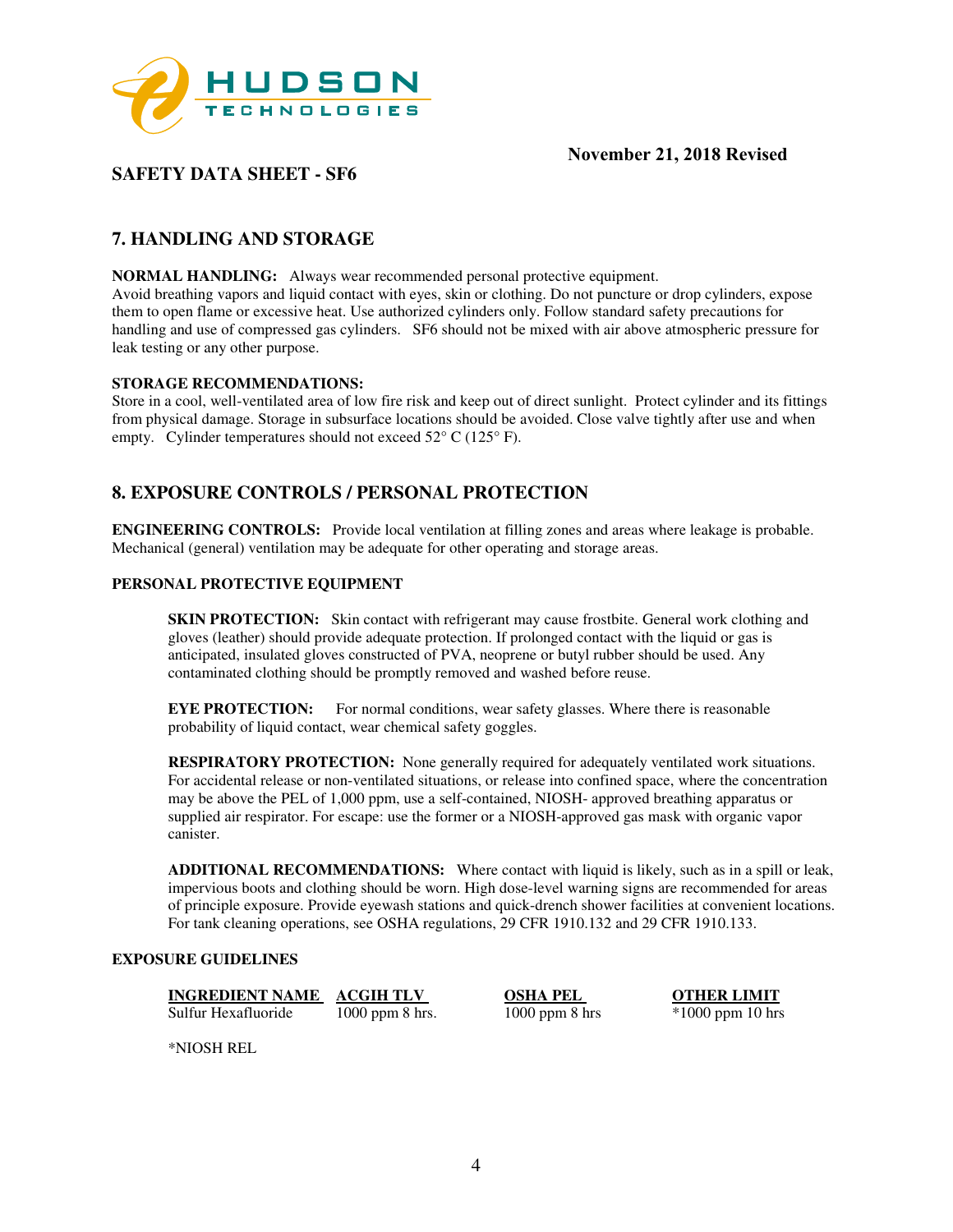

## **SAFETY DATA SHEET - SF6**

# **7. HANDLING AND STORAGE**

**NORMAL HANDLING:** Always wear recommended personal protective equipment.

Avoid breathing vapors and liquid contact with eyes, skin or clothing. Do not puncture or drop cylinders, expose them to open flame or excessive heat. Use authorized cylinders only. Follow standard safety precautions for handling and use of compressed gas cylinders. SF6 should not be mixed with air above atmospheric pressure for leak testing or any other purpose.

#### **STORAGE RECOMMENDATIONS:**

Store in a cool, well-ventilated area of low fire risk and keep out of direct sunlight. Protect cylinder and its fittings from physical damage. Storage in subsurface locations should be avoided. Close valve tightly after use and when empty. Cylinder temperatures should not exceed 52° C (125° F).

## **8. EXPOSURE CONTROLS / PERSONAL PROTECTION**

**ENGINEERING CONTROLS:** Provide local ventilation at filling zones and areas where leakage is probable. Mechanical (general) ventilation may be adequate for other operating and storage areas.

#### **PERSONAL PROTECTIVE EQUIPMENT**

**SKIN PROTECTION:** Skin contact with refrigerant may cause frostbite. General work clothing and gloves (leather) should provide adequate protection. If prolonged contact with the liquid or gas is anticipated, insulated gloves constructed of PVA, neoprene or butyl rubber should be used. Any contaminated clothing should be promptly removed and washed before reuse.

**EYE PROTECTION:** For normal conditions, wear safety glasses. Where there is reasonable probability of liquid contact, wear chemical safety goggles.

**RESPIRATORY PROTECTION:** None generally required for adequately ventilated work situations. For accidental release or non-ventilated situations, or release into confined space, where the concentration may be above the PEL of 1,000 ppm, use a self-contained, NIOSH- approved breathing apparatus or supplied air respirator. For escape: use the former or a NIOSH-approved gas mask with organic vapor canister.

**ADDITIONAL RECOMMENDATIONS:** Where contact with liquid is likely, such as in a spill or leak, impervious boots and clothing should be worn. High dose-level warning signs are recommended for areas of principle exposure. Provide eyewash stations and quick-drench shower facilities at convenient locations. For tank cleaning operations, see OSHA regulations, 29 CFR 1910.132 and 29 CFR 1910.133.

#### **EXPOSURE GUIDELINES**

**INGREDIENT NAME ACGIH TLV OSHA PEL OTHER LIMIT** 

Sulfur Hexafluoride 1000 ppm 8 hrs. 1000 ppm 8 hrs \*1000 ppm 10 hrs

\*NIOSH REL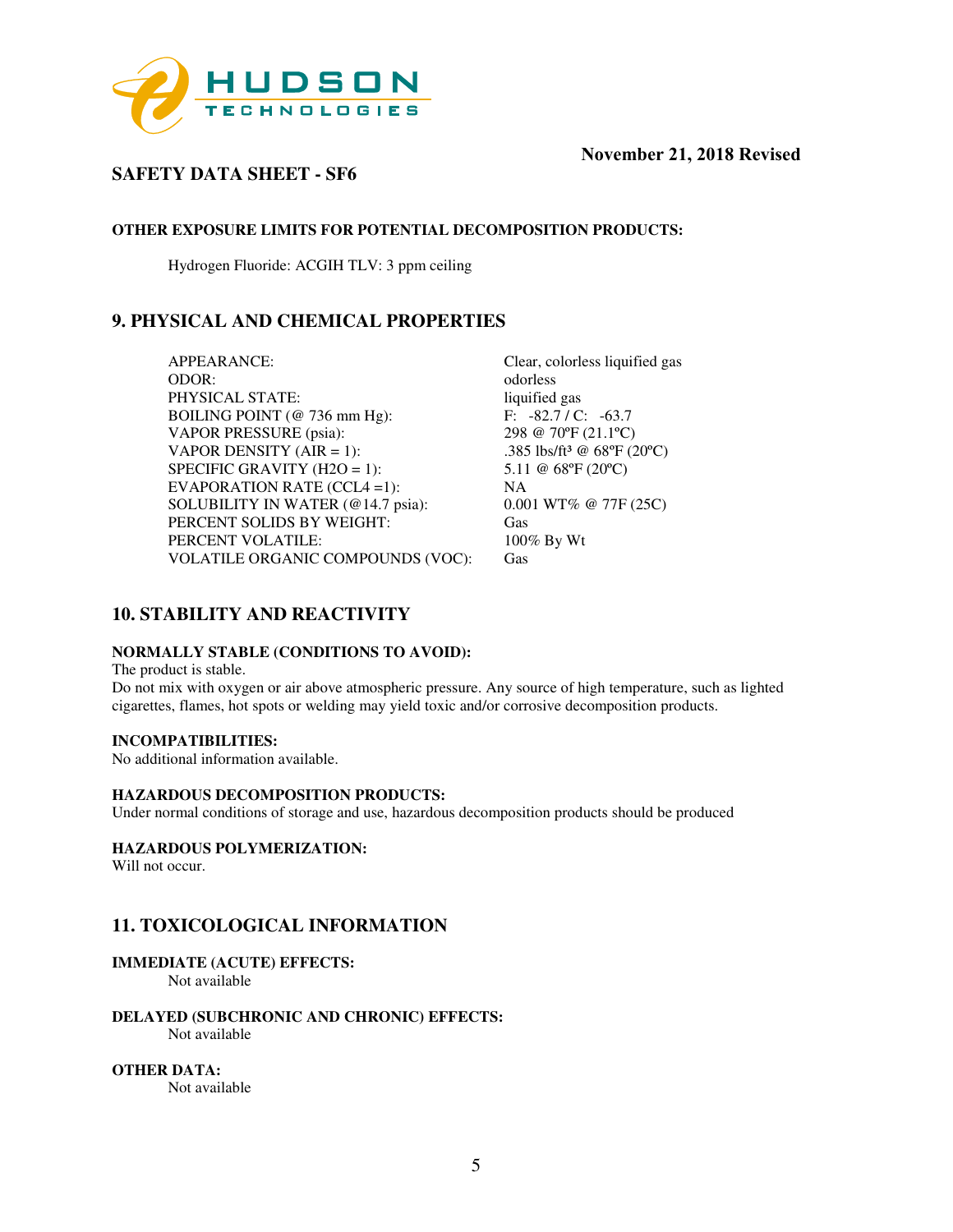

## **SAFETY DATA SHEET - SF6**

#### **OTHER EXPOSURE LIMITS FOR POTENTIAL DECOMPOSITION PRODUCTS:**

Hydrogen Fluoride: ACGIH TLV: 3 ppm ceiling

## **9. PHYSICAL AND CHEMICAL PROPERTIES**

APPEARANCE: Clear, colorless liquified gas ODOR: odorless<br>
PHYSICAL STATE: state of the state of the state of the state of the state of the state of the state of the state of the state of the state of the state of the state of the state of the state of the state of PHYSICAL STATE: BOILING POINT (@ 736 mm Hg): F: -82.7 / C: -63.7 VAPOR PRESSURE (psia): 298 @ 70ºF (21.1ºC) VAPOR DENSITY (AIR = 1):  $.385 \text{ lbs/ft}^3 \text{ @ } 68^\circ \text{F} \text{ (20°C)}$ SPECIFIC GRAVITY (H2O = 1):  $5.11 \t@ 68\textdegree F (20\textdegree C)$ EVAPORATION RATE (CCL4 =1): NA SOLUBILITY IN WATER (@14.7 psia): 0.001 WT% @ 77F (25C) PERCENT SOLIDS BY WEIGHT: Gas PERCENT VOLATILE: 100% By Wt VOLATILE ORGANIC COMPOUNDS (VOC): Gas

## **10. STABILITY AND REACTIVITY**

#### **NORMALLY STABLE (CONDITIONS TO AVOID):**

The product is stable.

Do not mix with oxygen or air above atmospheric pressure. Any source of high temperature, such as lighted cigarettes, flames, hot spots or welding may yield toxic and/or corrosive decomposition products.

#### **INCOMPATIBILITIES:**

No additional information available.

#### **HAZARDOUS DECOMPOSITION PRODUCTS:**

Under normal conditions of storage and use, hazardous decomposition products should be produced

#### **HAZARDOUS POLYMERIZATION:**

Will not occur.

## **11. TOXICOLOGICAL INFORMATION**

#### **IMMEDIATE (ACUTE) EFFECTS:**

Not available

**DELAYED (SUBCHRONIC AND CHRONIC) EFFECTS:**  Not available

**OTHER DATA:**  Not available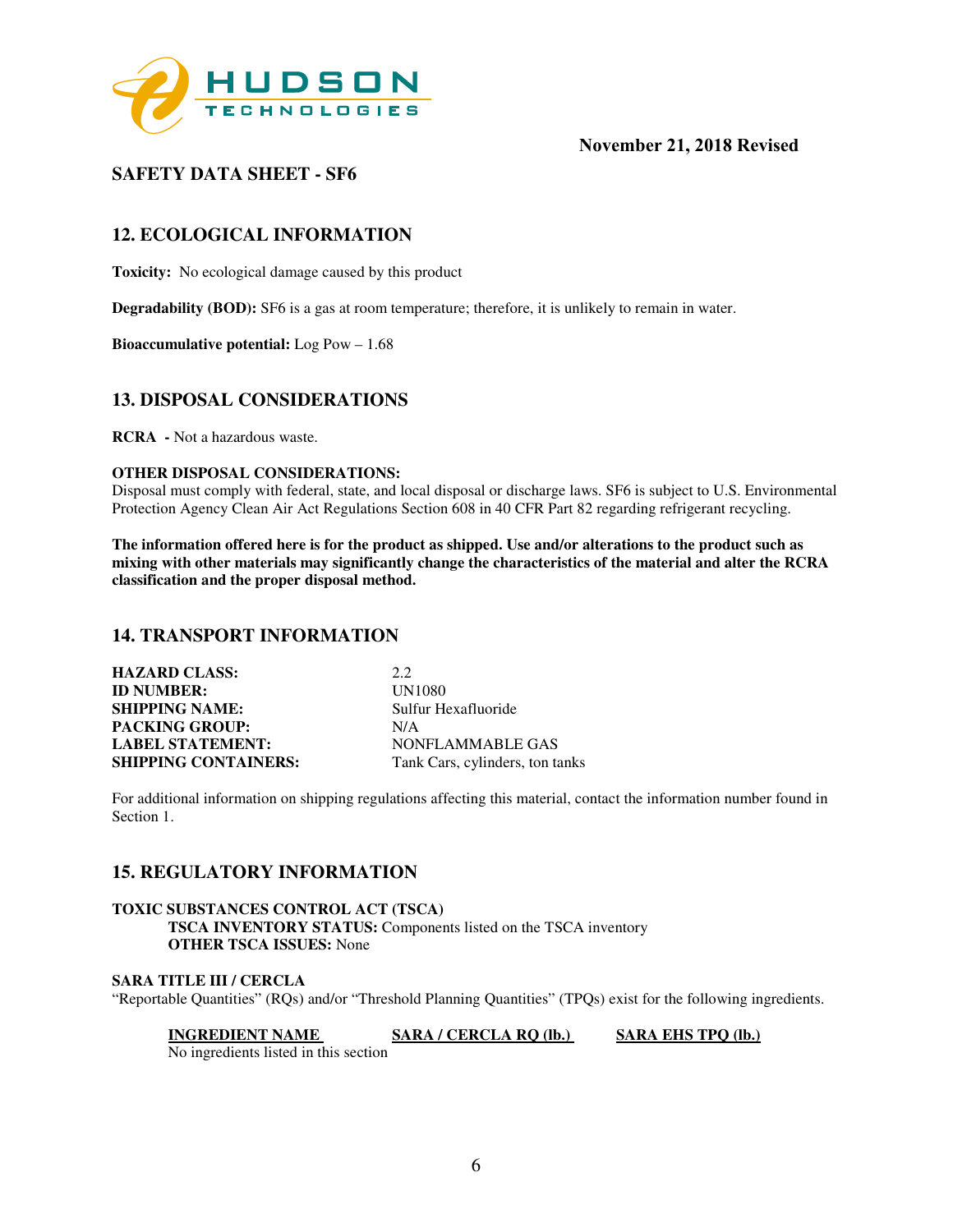

## **SAFETY DATA SHEET - SF6**

## **12. ECOLOGICAL INFORMATION**

**Toxicity:** No ecological damage caused by this product

**Degradability (BOD):** SF6 is a gas at room temperature; therefore, it is unlikely to remain in water.

**Bioaccumulative potential:** Log Pow – 1.68

### **13. DISPOSAL CONSIDERATIONS**

**RCRA -** Not a hazardous waste.

#### **OTHER DISPOSAL CONSIDERATIONS:**

Disposal must comply with federal, state, and local disposal or discharge laws. SF6 is subject to U.S. Environmental Protection Agency Clean Air Act Regulations Section 608 in 40 CFR Part 82 regarding refrigerant recycling.

**The information offered here is for the product as shipped. Use and/or alterations to the product such as mixing with other materials may significantly change the characteristics of the material and alter the RCRA classification and the proper disposal method.** 

### **14. TRANSPORT INFORMATION**

| <b>HAZARD CLASS:</b>        | 2.2                             |
|-----------------------------|---------------------------------|
| <b>ID NUMBER:</b>           | <b>UN1080</b>                   |
| <b>SHIPPING NAME:</b>       | Sulfur Hexafluoride             |
| <b>PACKING GROUP:</b>       | N/A                             |
| <b>LABEL STATEMENT:</b>     | NONFLAMMABLE GAS                |
| <b>SHIPPING CONTAINERS:</b> | Tank Cars, cylinders, ton tanks |

For additional information on shipping regulations affecting this material, contact the information number found in Section 1.

### **15. REGULATORY INFORMATION**

#### **TOXIC SUBSTANCES CONTROL ACT (TSCA) TSCA INVENTORY STATUS:** Components listed on the TSCA inventory **OTHER TSCA ISSUES:** None

#### **SARA TITLE III / CERCLA**

"Reportable Quantities" (RQs) and/or "Threshold Planning Quantities" (TPQs) exist for the following ingredients.

**INGREDIENT NAME SARA / CERCLA RQ (lb.)** SARA EHS TPQ (lb.)

No ingredients listed in this section